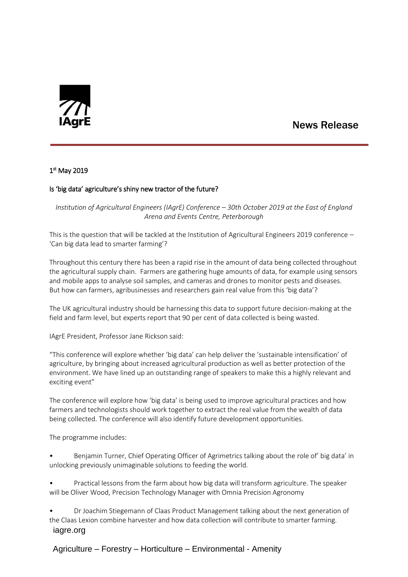

# News Release

## 1 st May 2019

## Is 'big data' agriculture's shiny new tractor of the future?

*Institution of Agricultural Engineers (IAgrE) Conference – 30th October 2019 at the East of England Arena and Events Centre, Peterborough*

This is the question that will be tackled at the Institution of Agricultural Engineers 2019 conference – 'Can big data lead to smarter farming'?

Throughout this century there has been a rapid rise in the amount of data being collected throughout the agricultural supply chain. Farmers are gathering huge amounts of data, for example using sensors and mobile apps to analyse soil samples, and cameras and drones to monitor pests and diseases. But how can farmers, agribusinesses and researchers gain real value from this 'big data'?

The UK agricultural industry should be harnessing this data to support future decision-making at the field and farm level, but experts report that 90 per cent of data collected is being wasted.

IAgrE President, Professor Jane Rickson said:

"This conference will explore whether 'big data' can help deliver the 'sustainable intensification' of agriculture, by bringing about increased agricultural production as well as better protection of the environment. We have lined up an outstanding range of speakers to make this a highly relevant and exciting event"

The conference will explore how 'big data' is being used to improve agricultural practices and how farmers and technologists should work together to extract the real value from the wealth of data being collected. The conference will also identify future development opportunities.

The programme includes:

• Benjamin Turner, Chief Operating Officer of Agrimetrics talking about the role of' big data' in unlocking previously unimaginable solutions to feeding the world.

• Practical lessons from the farm about how big data will transform agriculture. The speaker will be Oliver Wood, Precision Technology Manager with Omnia Precision Agronomy

 iagre.org • Dr Joachim Stiegemann of Claas Product Management talking about the next generation of the Claas Lexion combine harvester and how data collection will contribute to smarter farming.

# Agriculture – Forestry – Horticulture – Environmental - Amenity